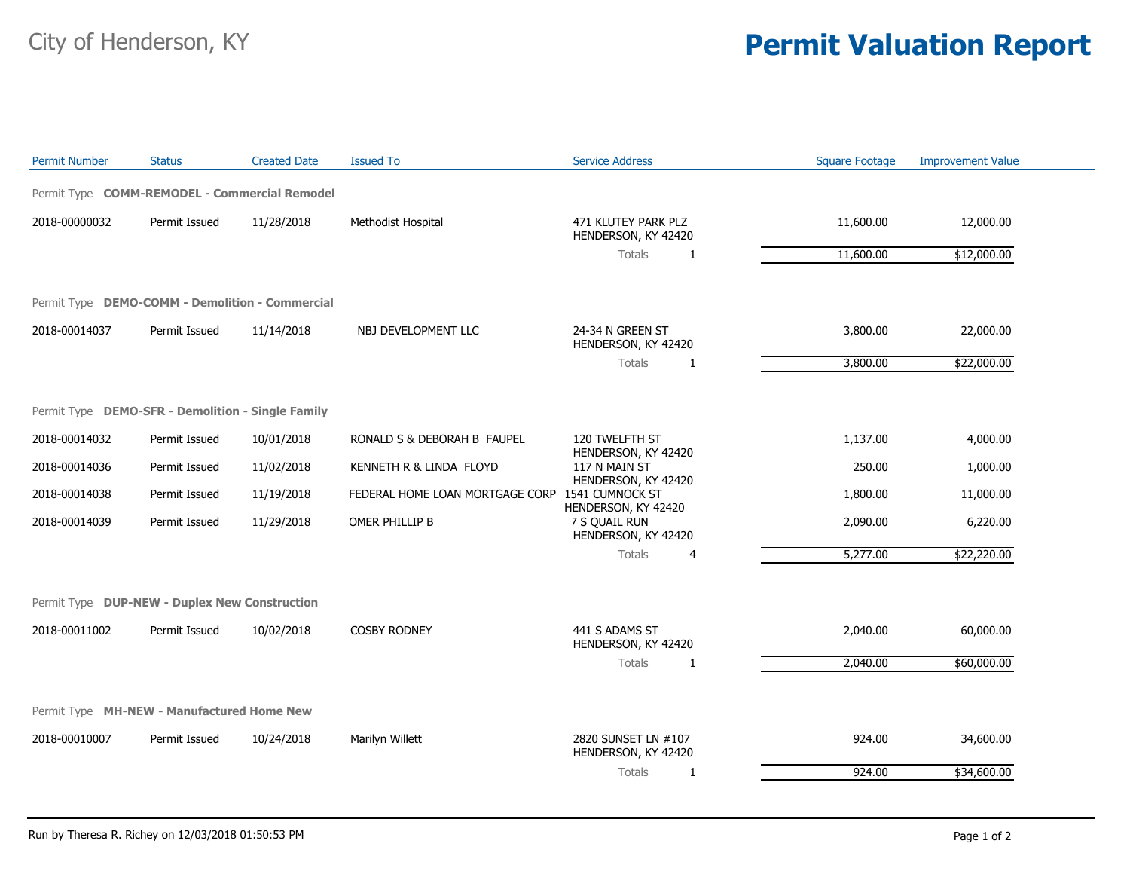## City of Henderson, KY **Permit Valuation Report**

| <b>Permit Number</b>                              | <b>Status</b> | <b>Created Date</b> | <b>Issued To</b>                | <b>Service Address</b>                                      | <b>Square Footage</b> | <b>Improvement Value</b> |  |  |  |
|---------------------------------------------------|---------------|---------------------|---------------------------------|-------------------------------------------------------------|-----------------------|--------------------------|--|--|--|
| Permit Type COMM-REMODEL - Commercial Remodel     |               |                     |                                 |                                                             |                       |                          |  |  |  |
| 2018-00000032                                     | Permit Issued | 11/28/2018          | Methodist Hospital              | 471 KLUTEY PARK PLZ<br>HENDERSON, KY 42420                  | 11,600.00             | 12,000.00                |  |  |  |
|                                                   |               |                     |                                 | Totals<br>1                                                 | 11,600.00             | \$12,000.00              |  |  |  |
| Permit Type DEMO-COMM - Demolition - Commercial   |               |                     |                                 |                                                             |                       |                          |  |  |  |
| 2018-00014037                                     | Permit Issued | 11/14/2018          | NBJ DEVELOPMENT LLC             | 24-34 N GREEN ST<br>HENDERSON, KY 42420                     | 3,800.00              | 22,000.00                |  |  |  |
|                                                   |               |                     |                                 | Totals<br>1                                                 | 3,800.00              | \$22,000.00              |  |  |  |
| Permit Type DEMO-SFR - Demolition - Single Family |               |                     |                                 |                                                             |                       |                          |  |  |  |
| 2018-00014032                                     | Permit Issued | 10/01/2018          | RONALD S & DEBORAH B FAUPEL     | 120 TWELFTH ST                                              | 1,137.00              | 4,000.00                 |  |  |  |
| 2018-00014036                                     | Permit Issued | 11/02/2018          | KENNETH R & LINDA FLOYD         | HENDERSON, KY 42420<br>117 N MAIN ST<br>HENDERSON, KY 42420 | 250.00                | 1,000.00                 |  |  |  |
| 2018-00014038                                     | Permit Issued | 11/19/2018          | FEDERAL HOME LOAN MORTGAGE CORP | 1541 CUMNOCK ST<br>HENDERSON, KY 42420                      | 1,800.00              | 11,000.00                |  |  |  |
| 2018-00014039                                     | Permit Issued | 11/29/2018          | OMER PHILLIP B                  | 7 S QUAIL RUN<br>HENDERSON, KY 42420                        | 2,090.00              | 6,220.00                 |  |  |  |
|                                                   |               |                     |                                 | Totals<br>4                                                 | 5,277.00              | \$22,220.00              |  |  |  |
| Permit Type DUP-NEW - Duplex New Construction     |               |                     |                                 |                                                             |                       |                          |  |  |  |
| 2018-00011002                                     | Permit Issued | 10/02/2018          | <b>COSBY RODNEY</b>             | 441 S ADAMS ST<br>HENDERSON, KY 42420                       | 2,040.00              | 60,000.00                |  |  |  |
|                                                   |               |                     |                                 | Totals<br>1                                                 | 2,040.00              | \$60,000.00              |  |  |  |
| Permit Type MH-NEW - Manufactured Home New        |               |                     |                                 |                                                             |                       |                          |  |  |  |
| 2018-00010007                                     | Permit Issued | 10/24/2018          | Marilyn Willett                 | 2820 SUNSET LN #107<br>HENDERSON, KY 42420                  | 924.00                | 34,600.00                |  |  |  |
|                                                   |               |                     |                                 | <b>Totals</b><br>1                                          | 924.00                | \$34,600.00              |  |  |  |